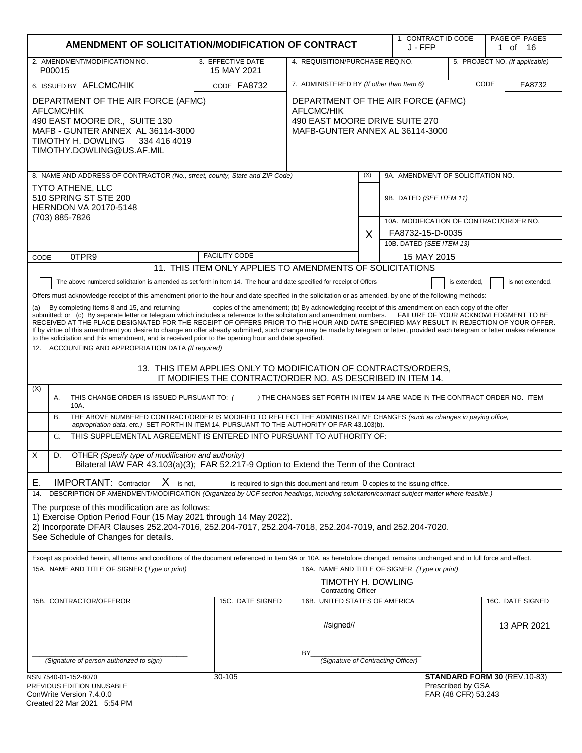|                                                                                                                                                                                                                                                                                                                                                                                                                                                                                                                                                                                                                                                                                                                                                                                                                                                                                                                                                                                                                                                                                                                                                                                                                                                                                                                                                                                                                                                                                                                                                                                                                                                                                                                                                                                                                                                                                                                                                                                                                                                                                                                                                                                                                                                                                                                                                                                                                                                                                                | AMENDMENT OF SOLICITATION/MODIFICATION OF CONTRACT        |                                                                                                                       |     | 1. CONTRACT ID CODE<br>J - FFP                                     |                                          | PAGE OF PAGES<br>1 of 16       |
|------------------------------------------------------------------------------------------------------------------------------------------------------------------------------------------------------------------------------------------------------------------------------------------------------------------------------------------------------------------------------------------------------------------------------------------------------------------------------------------------------------------------------------------------------------------------------------------------------------------------------------------------------------------------------------------------------------------------------------------------------------------------------------------------------------------------------------------------------------------------------------------------------------------------------------------------------------------------------------------------------------------------------------------------------------------------------------------------------------------------------------------------------------------------------------------------------------------------------------------------------------------------------------------------------------------------------------------------------------------------------------------------------------------------------------------------------------------------------------------------------------------------------------------------------------------------------------------------------------------------------------------------------------------------------------------------------------------------------------------------------------------------------------------------------------------------------------------------------------------------------------------------------------------------------------------------------------------------------------------------------------------------------------------------------------------------------------------------------------------------------------------------------------------------------------------------------------------------------------------------------------------------------------------------------------------------------------------------------------------------------------------------------------------------------------------------------------------------------------------------|-----------------------------------------------------------|-----------------------------------------------------------------------------------------------------------------------|-----|--------------------------------------------------------------------|------------------------------------------|--------------------------------|
| 2. AMENDMENT/MODIFICATION NO.<br>P00015                                                                                                                                                                                                                                                                                                                                                                                                                                                                                                                                                                                                                                                                                                                                                                                                                                                                                                                                                                                                                                                                                                                                                                                                                                                                                                                                                                                                                                                                                                                                                                                                                                                                                                                                                                                                                                                                                                                                                                                                                                                                                                                                                                                                                                                                                                                                                                                                                                                        | 3. EFFECTIVE DATE<br>15 MAY 2021                          | 4. REQUISITION/PURCHASE REQ.NO.                                                                                       |     |                                                                    |                                          | 5. PROJECT NO. (If applicable) |
| 6. ISSUED BY AFLCMC/HIK                                                                                                                                                                                                                                                                                                                                                                                                                                                                                                                                                                                                                                                                                                                                                                                                                                                                                                                                                                                                                                                                                                                                                                                                                                                                                                                                                                                                                                                                                                                                                                                                                                                                                                                                                                                                                                                                                                                                                                                                                                                                                                                                                                                                                                                                                                                                                                                                                                                                        | CODE FA8732                                               | 7. ADMINISTERED BY (If other than Item 6)                                                                             |     |                                                                    |                                          | CODE<br>FA8732                 |
| DEPARTMENT OF THE AIR FORCE (AFMC)<br>AFLCMC/HIK<br>490 EAST MOORE DR., SUITE 130<br>MAFB - GUNTER ANNEX AL 36114-3000<br>TIMOTHY H. DOWLING<br>334 416 4019<br>TIMOTHY.DOWLING@US.AF.MIL                                                                                                                                                                                                                                                                                                                                                                                                                                                                                                                                                                                                                                                                                                                                                                                                                                                                                                                                                                                                                                                                                                                                                                                                                                                                                                                                                                                                                                                                                                                                                                                                                                                                                                                                                                                                                                                                                                                                                                                                                                                                                                                                                                                                                                                                                                      |                                                           | DEPARTMENT OF THE AIR FORCE (AFMC)<br>AFLCMC/HIK<br>490 EAST MOORE DRIVE SUITE 270<br>MAFB-GUNTER ANNEX AL 36114-3000 |     |                                                                    |                                          |                                |
| 8. NAME AND ADDRESS OF CONTRACTOR (No., street, county, State and ZIP Code)                                                                                                                                                                                                                                                                                                                                                                                                                                                                                                                                                                                                                                                                                                                                                                                                                                                                                                                                                                                                                                                                                                                                                                                                                                                                                                                                                                                                                                                                                                                                                                                                                                                                                                                                                                                                                                                                                                                                                                                                                                                                                                                                                                                                                                                                                                                                                                                                                    |                                                           |                                                                                                                       | (X) | 9A. AMENDMENT OF SOLICITATION NO.                                  |                                          |                                |
| <b>TYTO ATHENE, LLC</b><br>510 SPRING ST STE 200<br><b>HERNDON VA 20170-5148</b><br>(703) 885-7826                                                                                                                                                                                                                                                                                                                                                                                                                                                                                                                                                                                                                                                                                                                                                                                                                                                                                                                                                                                                                                                                                                                                                                                                                                                                                                                                                                                                                                                                                                                                                                                                                                                                                                                                                                                                                                                                                                                                                                                                                                                                                                                                                                                                                                                                                                                                                                                             |                                                           |                                                                                                                       |     | 9B. DATED (SEE ITEM 11)<br>10A. MODIFICATION OF CONTRACT/ORDER NO. |                                          |                                |
|                                                                                                                                                                                                                                                                                                                                                                                                                                                                                                                                                                                                                                                                                                                                                                                                                                                                                                                                                                                                                                                                                                                                                                                                                                                                                                                                                                                                                                                                                                                                                                                                                                                                                                                                                                                                                                                                                                                                                                                                                                                                                                                                                                                                                                                                                                                                                                                                                                                                                                |                                                           |                                                                                                                       | X   | FA8732-15-D-0035                                                   |                                          |                                |
|                                                                                                                                                                                                                                                                                                                                                                                                                                                                                                                                                                                                                                                                                                                                                                                                                                                                                                                                                                                                                                                                                                                                                                                                                                                                                                                                                                                                                                                                                                                                                                                                                                                                                                                                                                                                                                                                                                                                                                                                                                                                                                                                                                                                                                                                                                                                                                                                                                                                                                |                                                           |                                                                                                                       |     | 10B. DATED (SEE ITEM 13)                                           |                                          |                                |
| 0TPR9<br>CODE                                                                                                                                                                                                                                                                                                                                                                                                                                                                                                                                                                                                                                                                                                                                                                                                                                                                                                                                                                                                                                                                                                                                                                                                                                                                                                                                                                                                                                                                                                                                                                                                                                                                                                                                                                                                                                                                                                                                                                                                                                                                                                                                                                                                                                                                                                                                                                                                                                                                                  | <b>FACILITY CODE</b>                                      |                                                                                                                       |     | 15 MAY 2015                                                        |                                          |                                |
|                                                                                                                                                                                                                                                                                                                                                                                                                                                                                                                                                                                                                                                                                                                                                                                                                                                                                                                                                                                                                                                                                                                                                                                                                                                                                                                                                                                                                                                                                                                                                                                                                                                                                                                                                                                                                                                                                                                                                                                                                                                                                                                                                                                                                                                                                                                                                                                                                                                                                                | 11. THIS ITEM ONLY APPLIES TO AMENDMENTS OF SOLICITATIONS |                                                                                                                       |     |                                                                    |                                          |                                |
| The above numbered solicitation is amended as set forth in Item 14. The hour and date specified for receipt of Offers<br>is extended,<br>is not extended.<br>Offers must acknowledge receipt of this amendment prior to the hour and date specified in the solicitation or as amended, by one of the following methods:<br>_copies of the amendment; (b) By acknowledging receipt of this amendment on each copy of the offer<br>By completing Items 8 and 15, and returning<br>submitted; or (c) By separate letter or telegram which includes a reference to the solicitation and amendment numbers. FAILURE OF YOUR ACKNOWLEDGMENT TO BE<br>RECEIVED AT THE PLACE DESIGNATED FOR THE RECEIPT OF OFFERS PRIOR TO THE HOUR AND DATE SPECIFIED MAY RESULT IN REJECTION OF YOUR OFFER.<br>If by virtue of this amendment you desire to change an offer already submitted, such change may be made by telegram or letter, provided each telegram or letter makes reference<br>to the solicitation and this amendment, and is received prior to the opening hour and date specified.<br>12. ACCOUNTING AND APPROPRIATION DATA (If required)<br>13. THIS ITEM APPLIES ONLY TO MODIFICATION OF CONTRACTS/ORDERS,<br>IT MODIFIES THE CONTRACT/ORDER NO. AS DESCRIBED IN ITEM 14.<br>(X)<br>Α.<br>THIS CHANGE ORDER IS ISSUED PURSUANT TO: (<br>) THE CHANGES SET FORTH IN ITEM 14 ARE MADE IN THE CONTRACT ORDER NO. ITEM<br>10A.<br>THE ABOVE NUMBERED CONTRACT/ORDER IS MODIFIED TO REFLECT THE ADMINISTRATIVE CHANGES (such as changes in paying office,<br><b>B.</b><br>appropriation data, etc.) SET FORTH IN ITEM 14, PURSUANT TO THE AUTHORITY OF FAR 43.103(b).<br>THIS SUPPLEMENTAL AGREEMENT IS ENTERED INTO PURSUANT TO AUTHORITY OF:<br>$C_{\cdot}$<br>X<br>D.<br>OTHER (Specify type of modification and authority)<br>Bilateral IAW FAR 43.103(a)(3); FAR 52.217-9 Option to Extend the Term of the Contract<br>$X$ is not.<br>Е.<br><b>IMPORTANT:</b> Contractor<br>is required to sign this document and return $\Omega$ copies to the issuing office.<br>DESCRIPTION OF AMENDMENT/MODIFICATION (Organized by UCF section headings, including solicitation/contract subject matter where feasible.)<br>14.<br>The purpose of this modification are as follows:<br>1) Exercise Option Period Four (15 May 2021 through 14 May 2022).<br>2) Incorporate DFAR Clauses 252.204-7016, 252.204-7017, 252.204-7018, 252.204-7019, and 252.204-7020.<br>See Schedule of Changes for details. |                                                           |                                                                                                                       |     |                                                                    |                                          |                                |
| Except as provided herein, all terms and conditions of the document referenced in Item 9A or 10A, as heretofore changed, remains unchanged and in full force and effect.<br>15A. NAME AND TITLE OF SIGNER (Type or print)                                                                                                                                                                                                                                                                                                                                                                                                                                                                                                                                                                                                                                                                                                                                                                                                                                                                                                                                                                                                                                                                                                                                                                                                                                                                                                                                                                                                                                                                                                                                                                                                                                                                                                                                                                                                                                                                                                                                                                                                                                                                                                                                                                                                                                                                      |                                                           | TIMOTHY H. DOWLING                                                                                                    |     | 16A. NAME AND TITLE OF SIGNER (Type or print)                      |                                          |                                |
| 15B. CONTRACTOR/OFFEROR                                                                                                                                                                                                                                                                                                                                                                                                                                                                                                                                                                                                                                                                                                                                                                                                                                                                                                                                                                                                                                                                                                                                                                                                                                                                                                                                                                                                                                                                                                                                                                                                                                                                                                                                                                                                                                                                                                                                                                                                                                                                                                                                                                                                                                                                                                                                                                                                                                                                        | 15C. DATE SIGNED                                          | <b>Contracting Officer</b><br>16B. UNITED STATES OF AMERICA                                                           |     |                                                                    |                                          | 16C. DATE SIGNED               |
|                                                                                                                                                                                                                                                                                                                                                                                                                                                                                                                                                                                                                                                                                                                                                                                                                                                                                                                                                                                                                                                                                                                                                                                                                                                                                                                                                                                                                                                                                                                                                                                                                                                                                                                                                                                                                                                                                                                                                                                                                                                                                                                                                                                                                                                                                                                                                                                                                                                                                                |                                                           | //signed//                                                                                                            |     |                                                                    |                                          | 13 APR 2021                    |
| (Signature of person authorized to sign)                                                                                                                                                                                                                                                                                                                                                                                                                                                                                                                                                                                                                                                                                                                                                                                                                                                                                                                                                                                                                                                                                                                                                                                                                                                                                                                                                                                                                                                                                                                                                                                                                                                                                                                                                                                                                                                                                                                                                                                                                                                                                                                                                                                                                                                                                                                                                                                                                                                       |                                                           | BY<br>(Signature of Contracting Officer)                                                                              |     |                                                                    |                                          |                                |
|                                                                                                                                                                                                                                                                                                                                                                                                                                                                                                                                                                                                                                                                                                                                                                                                                                                                                                                                                                                                                                                                                                                                                                                                                                                                                                                                                                                                                                                                                                                                                                                                                                                                                                                                                                                                                                                                                                                                                                                                                                                                                                                                                                                                                                                                                                                                                                                                                                                                                                |                                                           |                                                                                                                       |     |                                                                    |                                          |                                |
| NSN 7540-01-152-8070<br>PREVIOUS EDITION UNUSABLE<br>ConWrite Version 7 4 0 0                                                                                                                                                                                                                                                                                                                                                                                                                                                                                                                                                                                                                                                                                                                                                                                                                                                                                                                                                                                                                                                                                                                                                                                                                                                                                                                                                                                                                                                                                                                                                                                                                                                                                                                                                                                                                                                                                                                                                                                                                                                                                                                                                                                                                                                                                                                                                                                                                  | 30-105                                                    |                                                                                                                       |     |                                                                    | Prescribed by GSA<br>FAR (48 CFR) 53 243 | STANDARD FORM 30 (REV.10-83)   |

| ConWrite Version 7.4.0.0    |  |
|-----------------------------|--|
| Created 22 Mar 2021 5:54 PM |  |

FAR (48 CFR) 53.243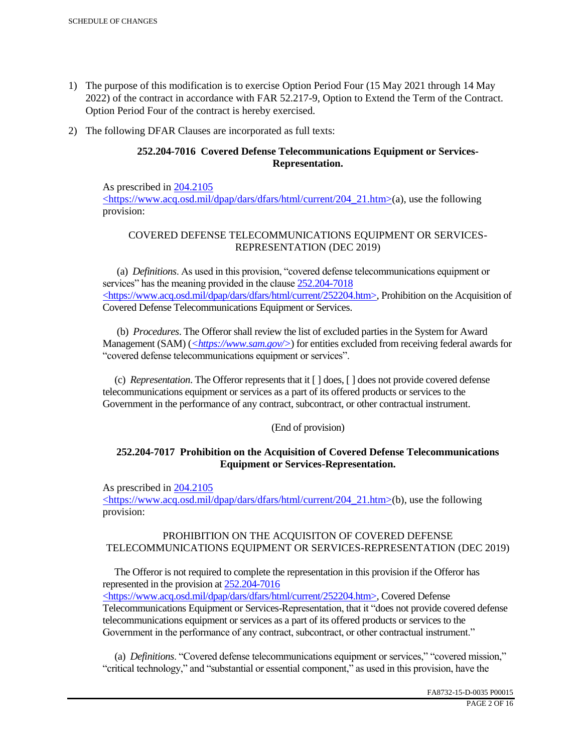- 1) The purpose of this modification is to exercise Option Period Four (15 May 2021 through 14 May 2022) of the contract in accordance with FAR 52.217-9, Option to Extend the Term of the Contract. Option Period Four of the contract is hereby exercised.
- 2) The following DFAR Clauses are incorporated as full texts:

## **252.204-7016 Covered Defense Telecommunications Equipment or Services-Representation.**

As prescribed in 204.2105 <https://www.acq.osd.mil/dpap/dars/dfars/html/current/204\_21.htm>(a), use the following provision:

# COVERED DEFENSE TELECOMMUNICATIONS EQUIPMENT OR SERVICES-REPRESENTATION (DEC 2019)

 (a) *Definitions*. As used in this provision, "covered defense telecommunications equipment or services" has the meaning provided in the clause  $252.204 - 7018$ <https://www.acq.osd.mil/dpap/dars/dfars/html/current/252204.htm>, Prohibition on the Acquisition of Covered Defense Telecommunications Equipment or Services.

 (b) *Procedures*. The Offeror shall review the list of excluded parties in the System for Award Management (SAM) (*<https://www.sam.gov/>*) for entities excluded from receiving federal awards for "covered defense telecommunications equipment or services".

 (c) *Representation*. The Offeror represents that it [ ] does, [ ] does not provide covered defense telecommunications equipment or services as a part of its offered products or services to the Government in the performance of any contract, subcontract, or other contractual instrument.

## (End of provision)

## **252.204-7017 Prohibition on the Acquisition of Covered Defense Telecommunications Equipment or Services-Representation.**

As prescribed in 204.2105

<https://www.acq.osd.mil/dpap/dars/dfars/html/current/204\_21.htm>(b), use the following provision:

## PROHIBITION ON THE ACQUISITON OF COVERED DEFENSE TELECOMMUNICATIONS EQUIPMENT OR SERVICES-REPRESENTATION (DEC 2019)

 The Offeror is not required to complete the representation in this provision if the Offeror has represented in the provision at 252.204-7016

<https://www.acq.osd.mil/dpap/dars/dfars/html/current/252204.htm>, Covered Defense Telecommunications Equipment or Services-Representation, that it "does not provide covered defense telecommunications equipment or services as a part of its offered products or services to the Government in the performance of any contract, subcontract, or other contractual instrument."

 (a) *Definitions*. "Covered defense telecommunications equipment or services," "covered mission," "critical technology," and "substantial or essential component," as used in this provision, have the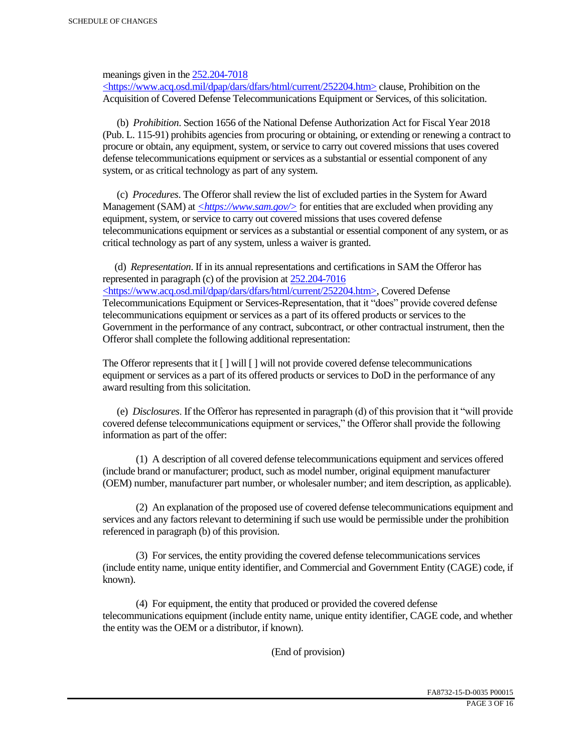meanings given in the 252.204-7018

 $\langle$ https://www.acq.osd.mil/dpap/dars/dfars/html/current/252204.htm> clause, Prohibition on the Acquisition of Covered Defense Telecommunications Equipment or Services, of this solicitation.

 (b) *Prohibition*. Section 1656 of the National Defense Authorization Act for Fiscal Year 2018 (Pub. L. 115-91) prohibits agencies from procuring or obtaining, or extending or renewing a contract to procure or obtain, any equipment, system, or service to carry out covered missions that uses covered defense telecommunications equipment or services as a substantial or essential component of any system, or as critical technology as part of any system.

 (c) *Procedures*. The Offeror shall review the list of excluded parties in the System for Award Management (SAM) at  $\leq$ https://www.sam.gov/> for entities that are excluded when providing any equipment, system, or service to carry out covered missions that uses covered defense telecommunications equipment or services as a substantial or essential component of any system, or as critical technology as part of any system, unless a waiver is granted.

 (d) *Representation*. If in its annual representations and certifications in SAM the Offeror has represented in paragraph (c) of the provision at 252.204-7016 <https://www.acq.osd.mil/dpap/dars/dfars/html/current/252204.htm>, Covered Defense Telecommunications Equipment or Services-Representation, that it "does" provide covered defense telecommunications equipment or services as a part of its offered products or services to the Government in the performance of any contract, subcontract, or other contractual instrument, then the Offeror shall complete the following additional representation:

The Offeror represents that it  $\lceil \cdot \rceil$  will  $\lceil \cdot \rceil$  will not provide covered defense telecommunications equipment or services as a part of its offered products or services to DoD in the performance of any award resulting from this solicitation.

 (e) *Disclosures*. If the Offeror has represented in paragraph (d) of this provision that it "will provide covered defense telecommunications equipment or services," the Offeror shall provide the following information as part of the offer:

 (1) A description of all covered defense telecommunications equipment and services offered (include brand or manufacturer; product, such as model number, original equipment manufacturer (OEM) number, manufacturer part number, or wholesaler number; and item description, as applicable).

 (2) An explanation of the proposed use of covered defense telecommunications equipment and services and any factors relevant to determining if such use would be permissible under the prohibition referenced in paragraph (b) of this provision.

 (3) For services, the entity providing the covered defense telecommunications services (include entity name, unique entity identifier, and Commercial and Government Entity (CAGE) code, if known).

 (4) For equipment, the entity that produced or provided the covered defense telecommunications equipment (include entity name, unique entity identifier, CAGE code, and whether the entity was the OEM or a distributor, if known).

(End of provision)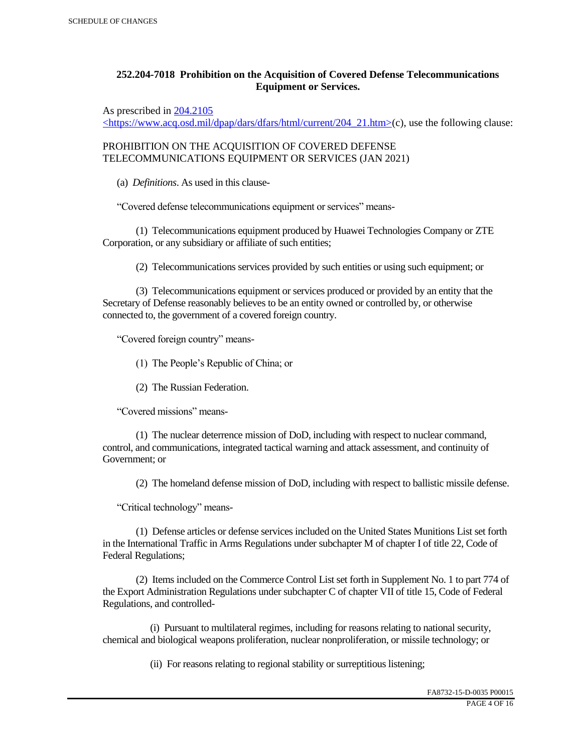## **252.204-7018 Prohibition on the Acquisition of Covered Defense Telecommunications Equipment or Services.**

As prescribed in 204.2105

 $\langle$ https://www.acq.osd.mil/dpap/dars/dfars/html/current/204\_21.htm>(c), use the following clause:

PROHIBITION ON THE ACQUISITION OF COVERED DEFENSE TELECOMMUNICATIONS EQUIPMENT OR SERVICES (JAN 2021)

(a) *Definitions*. As used in this clause-

"Covered defense telecommunications equipment or services" means-

 (1) Telecommunications equipment produced by Huawei Technologies Company or ZTE Corporation, or any subsidiary or affiliate of such entities;

(2) Telecommunications services provided by such entities or using such equipment; or

 (3) Telecommunications equipment or services produced or provided by an entity that the Secretary of Defense reasonably believes to be an entity owned or controlled by, or otherwise connected to, the government of a covered foreign country.

"Covered foreign country" means-

(1) The People's Republic of China; or

(2) The Russian Federation.

"Covered missions" means-

 (1) The nuclear deterrence mission of DoD, including with respect to nuclear command, control, and communications, integrated tactical warning and attack assessment, and continuity of Government; or

(2) The homeland defense mission of DoD, including with respect to ballistic missile defense.

"Critical technology" means-

 (1) Defense articles or defense services included on the United States Munitions List set forth in the International Traffic in Arms Regulations under subchapter M of chapter I of title 22, Code of Federal Regulations;

 (2) Items included on the Commerce Control List set forth in Supplement No. 1 to part 774 of the Export Administration Regulations under subchapter C of chapter VII of title 15, Code of Federal Regulations, and controlled-

 (i) Pursuant to multilateral regimes, including for reasons relating to national security, chemical and biological weapons proliferation, nuclear nonproliferation, or missile technology; or

(ii) For reasons relating to regional stability or surreptitious listening;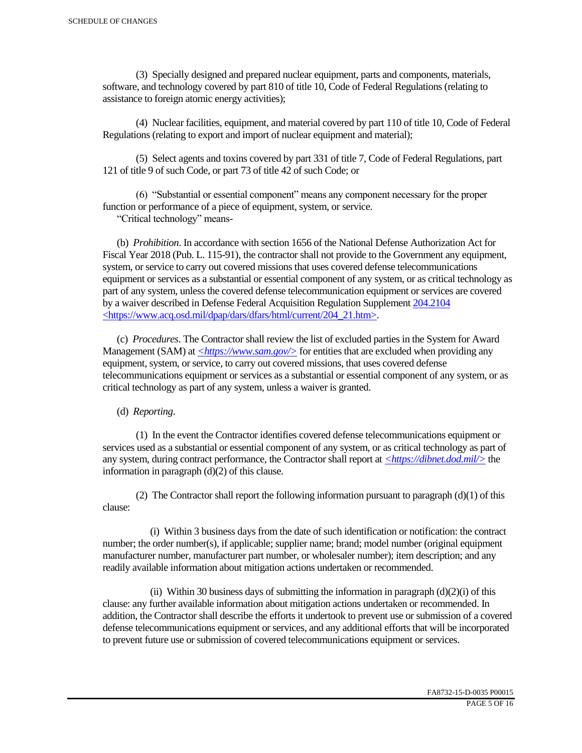(3) Specially designed and prepared nuclear equipment, parts and components, materials, software, and technology covered by part 810 of title 10, Code of Federal Regulations (relating to assistance to foreign atomic energy activities);

 (4) Nuclear facilities, equipment, and material covered by part 110 of title 10, Code of Federal Regulations (relating to export and import of nuclear equipment and material);

 (5) Select agents and toxins covered by part 331 of title 7, Code of Federal Regulations, part 121 of title 9 of such Code, or part 73 of title 42 of such Code; or

 (6) "Substantial or essential component" means any component necessary for the proper function or performance of a piece of equipment, system, or service.

"Critical technology" means-

 (b) *Prohibition*. In accordance with section 1656 of the National Defense Authorization Act for Fiscal Year 2018 (Pub. L. 115-91), the contractor shall not provide to the Government any equipment, system, or service to carry out covered missions that uses covered defense telecommunications equipment or services as a substantial or essential component of any system, or as critical technology as part of any system, unless the covered defense telecommunication equipment or services are covered by a waiver described in Defense Federal Acquisition Regulation Supplement 204.2104 <https://www.acq.osd.mil/dpap/dars/dfars/html/current/204\_21.htm>.

 (c) *Procedures*. The Contractor shall review the list of excluded parties in the System for Award Management (SAM) at  $\langle \frac{https://www.sam.gov/}{>}$  for entities that are excluded when providing any equipment, system, or service, to carry out covered missions, that uses covered defense telecommunications equipment or services as a substantial or essential component of any system, or as critical technology as part of any system, unless a waiver is granted.

(d) *Reporting*.

 (1) In the event the Contractor identifies covered defense telecommunications equipment or services used as a substantial or essential component of any system, or as critical technology as part of any system, during contract performance, the Contractor shall report at *<https://dibnet.dod.mil/>* the information in paragraph (d)(2) of this clause.

(2) The Contractor shall report the following information pursuant to paragraph  $(d)(1)$  of this clause:

 (i) Within 3 business days from the date of such identification or notification: the contract number; the order number(s), if applicable; supplier name; brand; model number (original equipment manufacturer number, manufacturer part number, or wholesaler number); item description; and any readily available information about mitigation actions undertaken or recommended.

(ii) Within 30 business days of submitting the information in paragraph  $(d)(2)(i)$  of this clause: any further available information about mitigation actions undertaken or recommended. In addition, the Contractor shall describe the efforts it undertook to prevent use or submission of a covered defense telecommunications equipment or services, and any additional efforts that will be incorporated to prevent future use or submission of covered telecommunications equipment or services.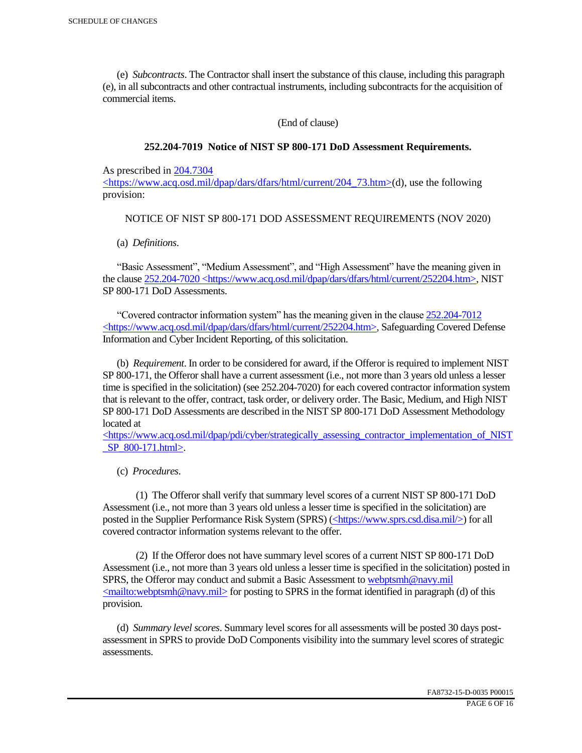(e) *Subcontracts*. The Contractor shall insert the substance of this clause, including this paragraph (e), in all subcontracts and other contractual instruments, including subcontracts for the acquisition of commercial items.

(End of clause)

### **252.204-7019 Notice of NIST SP 800-171 DoD Assessment Requirements.**

As prescribed in 204.7304

 $\langle$ https://www.acq.osd.mil/dpap/dars/dfars/html/current/204 73.htm>(d), use the following provision:

## NOTICE OF NIST SP 800-171 DOD ASSESSMENT REQUIREMENTS (NOV 2020)

(a) *Definitions*.

 "Basic Assessment", "Medium Assessment", and "High Assessment" have the meaning given in the clause 252.204-7020 <https://www.acq.osd.mil/dpap/dars/dfars/html/current/252204.htm>, NIST SP 800-171 DoD Assessments.

 "Covered contractor information system" has the meaning given in the clause 252.204-7012 <https://www.acq.osd.mil/dpap/dars/dfars/html/current/252204.htm>, Safeguarding Covered Defense Information and Cyber Incident Reporting, of this solicitation.

 (b) *Requirement*. In order to be considered for award, if the Offeror is required to implement NIST SP 800-171, the Offeror shall have a current assessment (i.e., not more than 3 years old unless a lesser time is specified in the solicitation) (see 252.204-7020) for each covered contractor information system that is relevant to the offer, contract, task order, or delivery order. The Basic, Medium, and High NIST SP 800-171 DoD Assessments are described in the NIST SP 800-171 DoD Assessment Methodology located at

 $\langle$ https://www.acq.osd.mil/dpap/pdi/cyber/strategically\_assessing\_contractor\_implementation\_of\_NIST \_SP\_800-171.html>.

(c) *Procedures*.

 (1) The Offeror shall verify that summary level scores of a current NIST SP 800-171 DoD Assessment (i.e., not more than 3 years old unless a lesser time is specified in the solicitation) are posted in the Supplier Performance Risk System (SPRS) (<https://www.sprs.csd.disa.mil/>) for all covered contractor information systems relevant to the offer.

 (2) If the Offeror does not have summary level scores of a current NIST SP 800-171 DoD Assessment (i.e., not more than 3 years old unless a lesser time is specified in the solicitation) posted in SPRS, the Offeror may conduct and submit a Basic Assessment to webptsmh@navy.mil  $\leq$ mailto:webptsmh@navy.mil> for posting to SPRS in the format identified in paragraph (d) of this provision.

 (d) *Summary level scores*. Summary level scores for all assessments will be posted 30 days postassessment in SPRS to provide DoD Components visibility into the summary level scores of strategic assessments.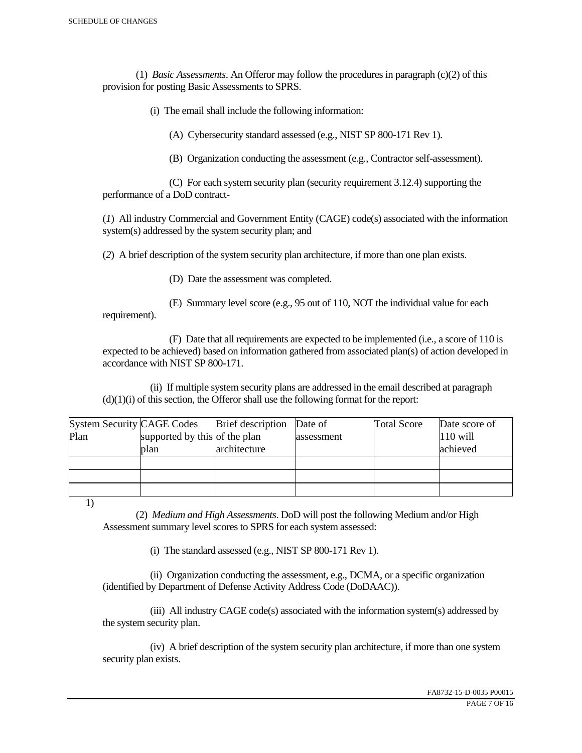(1) *Basic Assessments*. An Offeror may follow the procedures in paragraph (c)(2) of this provision for posting Basic Assessments to SPRS.

(i) The email shall include the following information:

(A) Cybersecurity standard assessed (e.g., NIST SP 800-171 Rev 1).

(B) Organization conducting the assessment (e.g., Contractor self-assessment).

 (C) For each system security plan (security requirement 3.12.4) supporting the performance of a DoD contract-

(*1*) All industry Commercial and Government Entity (CAGE) code(s) associated with the information system(s) addressed by the system security plan; and

(*2*) A brief description of the system security plan architecture, if more than one plan exists.

(D) Date the assessment was completed.

 (E) Summary level score (e.g., 95 out of 110, NOT the individual value for each requirement).

 (F) Date that all requirements are expected to be implemented (i.e., a score of 110 is expected to be achieved) based on information gathered from associated plan(s) of action developed in accordance with NIST SP 800-171.

 (ii) If multiple system security plans are addressed in the email described at paragraph  $(d)(1)(i)$  of this section, the Offeror shall use the following format for the report:

| <b>System Security CAGE Codes</b> |                               | <b>Brief</b> description | Date of    | <b>Total Score</b> | Date score of |
|-----------------------------------|-------------------------------|--------------------------|------------|--------------------|---------------|
| Plan                              | supported by this of the plan |                          | assessment |                    | $110$ will    |
|                                   | plan                          | architecture             |            |                    | achieved      |
|                                   |                               |                          |            |                    |               |
|                                   |                               |                          |            |                    |               |
|                                   |                               |                          |            |                    |               |

1)

 (2) *Medium and High Assessments*. DoD will post the following Medium and/or High Assessment summary level scores to SPRS for each system assessed:

(i) The standard assessed (e.g., NIST SP 800-171 Rev 1).

 (ii) Organization conducting the assessment, e.g., DCMA, or a specific organization (identified by Department of Defense Activity Address Code (DoDAAC)).

 (iii) All industry CAGE code(s) associated with the information system(s) addressed by the system security plan.

 (iv) A brief description of the system security plan architecture, if more than one system security plan exists.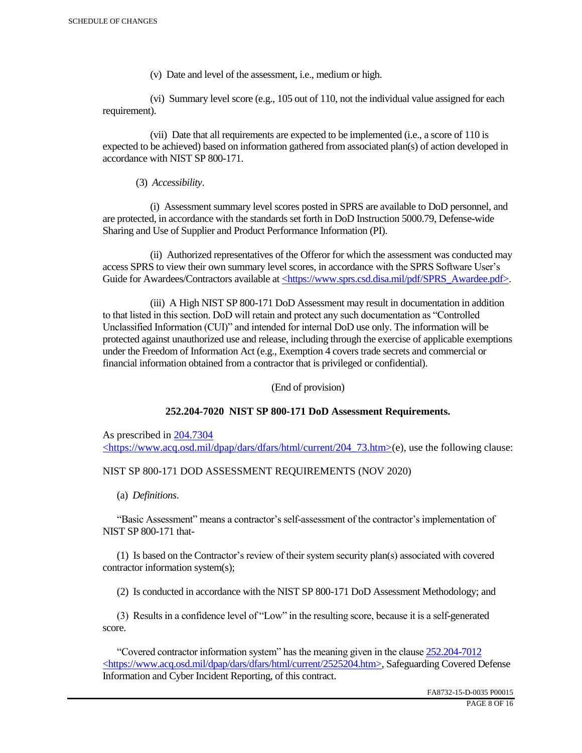(v) Date and level of the assessment, i.e., medium or high.

 (vi) Summary level score (e.g., 105 out of 110, not the individual value assigned for each requirement).

 (vii) Date that all requirements are expected to be implemented (i.e., a score of 110 is expected to be achieved) based on information gathered from associated plan(s) of action developed in accordance with NIST SP 800-171.

(3) *Accessibility*.

 (i) Assessment summary level scores posted in SPRS are available to DoD personnel, and are protected, in accordance with the standards set forth in DoD Instruction 5000.79, Defense-wide Sharing and Use of Supplier and Product Performance Information (PI).

 (ii) Authorized representatives of the Offeror for which the assessment was conducted may access SPRS to view their own summary level scores, in accordance with the SPRS Software User's Guide for Awardees/Contractors available at <https://www.sprs.csd.disa.mil/pdf/SPRS\_Awardee.pdf>.

 (iii) A High NIST SP 800-171 DoD Assessment may result in documentation in addition to that listed in this section. DoD will retain and protect any such documentation as "Controlled Unclassified Information (CUI)" and intended for internal DoD use only. The information will be protected against unauthorized use and release, including through the exercise of applicable exemptions under the Freedom of Information Act (e.g., Exemption 4 covers trade secrets and commercial or financial information obtained from a contractor that is privileged or confidential).

(End of provision)

## **252.204-7020 NIST SP 800-171 DoD Assessment Requirements.**

As prescribed in 204.7304 <https://www.acq.osd.mil/dpap/dars/dfars/html/current/204\_73.htm>(e), use the following clause:

## NIST SP 800-171 DOD ASSESSMENT REQUIREMENTS (NOV 2020)

(a) *Definitions*.

 "Basic Assessment" means a contractor's self-assessment of the contractor's implementation of NIST SP 800-171 that-

 (1) Is based on the Contractor's review of their system security plan(s) associated with covered contractor information system(s);

(2) Is conducted in accordance with the NIST SP 800-171 DoD Assessment Methodology; and

 (3) Results in a confidence level of "Low" in the resulting score, because it is a self-generated score.

 "Covered contractor information system" has the meaning given in the clause 252.204-7012 <https://www.acq.osd.mil/dpap/dars/dfars/html/current/2525204.htm>, Safeguarding Covered Defense Information and Cyber Incident Reporting, of this contract.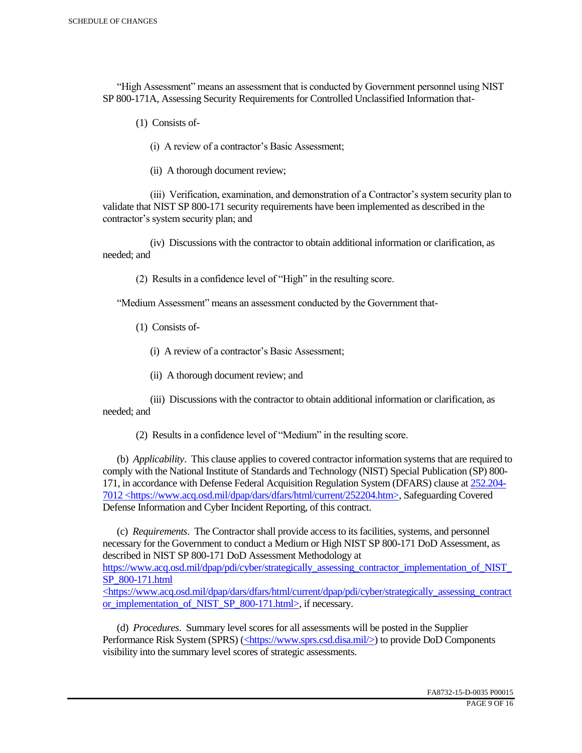"High Assessment" means an assessment that is conducted by Government personnel using NIST SP 800-171A, Assessing Security Requirements for Controlled Unclassified Information that-

(1) Consists of-

(i) A review of a contractor's Basic Assessment;

(ii) A thorough document review;

 (iii) Verification, examination, and demonstration of a Contractor's system security plan to validate that NIST SP 800-171 security requirements have been implemented as described in the contractor's system security plan; and

 (iv) Discussions with the contractor to obtain additional information or clarification, as needed; and

(2) Results in a confidence level of "High" in the resulting score.

"Medium Assessment" means an assessment conducted by the Government that-

(1) Consists of-

(i) A review of a contractor's Basic Assessment;

(ii) A thorough document review; and

 (iii) Discussions with the contractor to obtain additional information or clarification, as needed; and

(2) Results in a confidence level of "Medium" in the resulting score.

 (b) *Applicability*. This clause applies to covered contractor information systems that are required to comply with the National Institute of Standards and Technology (NIST) Special Publication (SP) 800- 171, in accordance with Defense Federal Acquisition Regulation System (DFARS) clause at 252.204- 7012 <https://www.acq.osd.mil/dpap/dars/dfars/html/current/252204.htm>, Safeguarding Covered Defense Information and Cyber Incident Reporting, of this contract.

 (c) *Requirements*. The Contractor shall provide access to its facilities, systems, and personnel necessary for the Government to conduct a Medium or High NIST SP 800-171 DoD Assessment, as described in NIST SP 800-171 DoD Assessment Methodology at https://www.acq.osd.mil/dpap/pdi/cyber/strategically\_assessing\_contractor\_implementation\_of\_NIST\_ SP\_800-171.html <https://www.acq.osd.mil/dpap/dars/dfars/html/current/dpap/pdi/cyber/strategically\_assessing\_contract

or implementation of NIST SP 800-171.html>, if necessary.

 (d) *Procedures*. Summary level scores for all assessments will be posted in the Supplier Performance Risk System (SPRS) (<https://www.sprs.csd.disa.mil/>) to provide DoD Components visibility into the summary level scores of strategic assessments.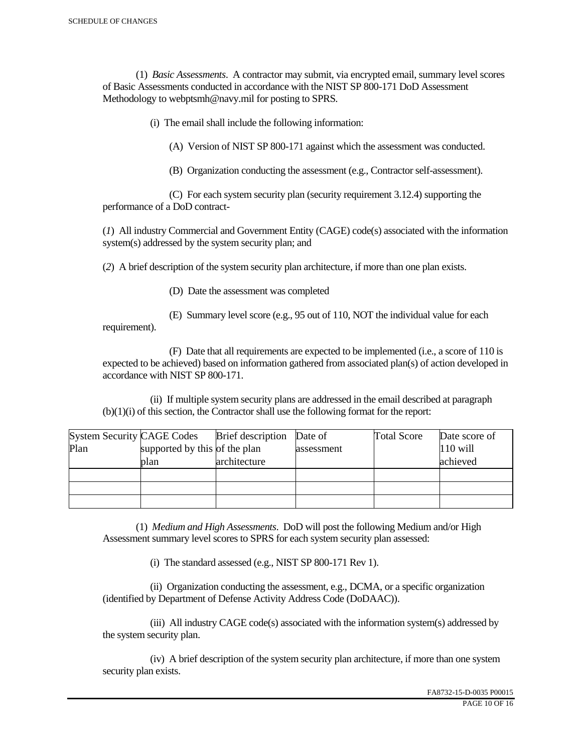(1) *Basic Assessments*. A contractor may submit, via encrypted email, summary level scores of Basic Assessments conducted in accordance with the NIST SP 800-171 DoD Assessment Methodology to webptsmh@navy.mil for posting to SPRS.

(i) The email shall include the following information:

(A) Version of NIST SP 800-171 against which the assessment was conducted.

(B) Organization conducting the assessment (e.g., Contractor self-assessment).

 (C) For each system security plan (security requirement 3.12.4) supporting the performance of a DoD contract-

(*1*) All industry Commercial and Government Entity (CAGE) code(s) associated with the information system(s) addressed by the system security plan; and

(*2*) A brief description of the system security plan architecture, if more than one plan exists.

(D) Date the assessment was completed

requirement).

(E) Summary level score (e.g., 95 out of 110, NOT the individual value for each

 (F) Date that all requirements are expected to be implemented (i.e., a score of 110 is expected to be achieved) based on information gathered from associated plan(s) of action developed in accordance with NIST SP 800-171.

 (ii) If multiple system security plans are addressed in the email described at paragraph (b)(1)(i) of this section, the Contractor shall use the following format for the report:

| <b>System Security CAGE Codes</b> |                               | <b>Brief</b> description | Date of    | <b>Total Score</b> | Date score of |
|-----------------------------------|-------------------------------|--------------------------|------------|--------------------|---------------|
| Plan                              | supported by this of the plan |                          | assessment |                    | $110$ will    |
|                                   | plan                          | architecture             |            |                    | achieved      |
|                                   |                               |                          |            |                    |               |
|                                   |                               |                          |            |                    |               |
|                                   |                               |                          |            |                    |               |

 (1) *Medium and High Assessments*. DoD will post the following Medium and/or High Assessment summary level scores to SPRS for each system security plan assessed:

(i) The standard assessed (e.g., NIST SP 800-171 Rev 1).

 (ii) Organization conducting the assessment, e.g., DCMA, or a specific organization (identified by Department of Defense Activity Address Code (DoDAAC)).

 (iii) All industry CAGE code(s) associated with the information system(s) addressed by the system security plan.

 (iv) A brief description of the system security plan architecture, if more than one system security plan exists.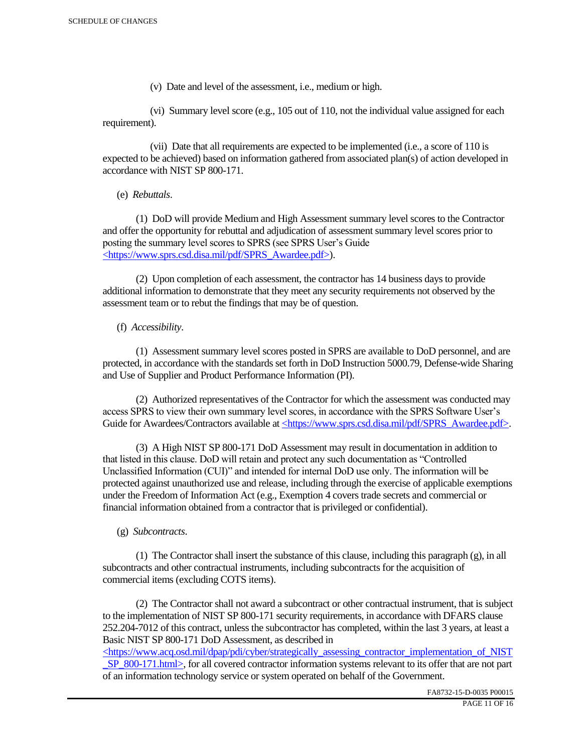(v) Date and level of the assessment, i.e., medium or high.

 (vi) Summary level score (e.g., 105 out of 110, not the individual value assigned for each requirement).

 (vii) Date that all requirements are expected to be implemented (i.e., a score of 110 is expected to be achieved) based on information gathered from associated plan(s) of action developed in accordance with NIST SP 800-171.

(e) *Rebuttals*.

 (1) DoD will provide Medium and High Assessment summary level scores to the Contractor and offer the opportunity for rebuttal and adjudication of assessment summary level scores prior to posting the summary level scores to SPRS (see SPRS User's Guide <https://www.sprs.csd.disa.mil/pdf/SPRS\_Awardee.pdf>).

 (2) Upon completion of each assessment, the contractor has 14 business days to provide additional information to demonstrate that they meet any security requirements not observed by the assessment team or to rebut the findings that may be of question.

## (f) *Accessibility*.

 (1) Assessment summary level scores posted in SPRS are available to DoD personnel, and are protected, in accordance with the standards set forth in DoD Instruction 5000.79, Defense-wide Sharing and Use of Supplier and Product Performance Information (PI).

 (2) Authorized representatives of the Contractor for which the assessment was conducted may access SPRS to view their own summary level scores, in accordance with the SPRS Software User's Guide for Awardees/Contractors available at <https://www.sprs.csd.disa.mil/pdf/SPRS\_Awardee.pdf>.

 (3) A High NIST SP 800-171 DoD Assessment may result in documentation in addition to that listed in this clause. DoD will retain and protect any such documentation as "Controlled Unclassified Information (CUI)" and intended for internal DoD use only. The information will be protected against unauthorized use and release, including through the exercise of applicable exemptions under the Freedom of Information Act (e.g., Exemption 4 covers trade secrets and commercial or financial information obtained from a contractor that is privileged or confidential).

## (g) *Subcontracts*.

(1) The Contractor shall insert the substance of this clause, including this paragraph  $(g)$ , in all subcontracts and other contractual instruments, including subcontracts for the acquisition of commercial items (excluding COTS items).

 (2) The Contractor shall not award a subcontract or other contractual instrument, that is subject to the implementation of NIST SP 800-171 security requirements, in accordance with DFARS clause 252.204-7012 of this contract, unless the subcontractor has completed, within the last 3 years, at least a Basic NIST SP 800-171 DoD Assessment, as described in

 $\langle$ https://www.acq.osd.mil/dpap/pdi/cyber/strategically\_assessing\_contractor\_implementation\_of\_NIST SP\_800-171.html>, for all covered contractor information systems relevant to its offer that are not part of an information technology service or system operated on behalf of the Government.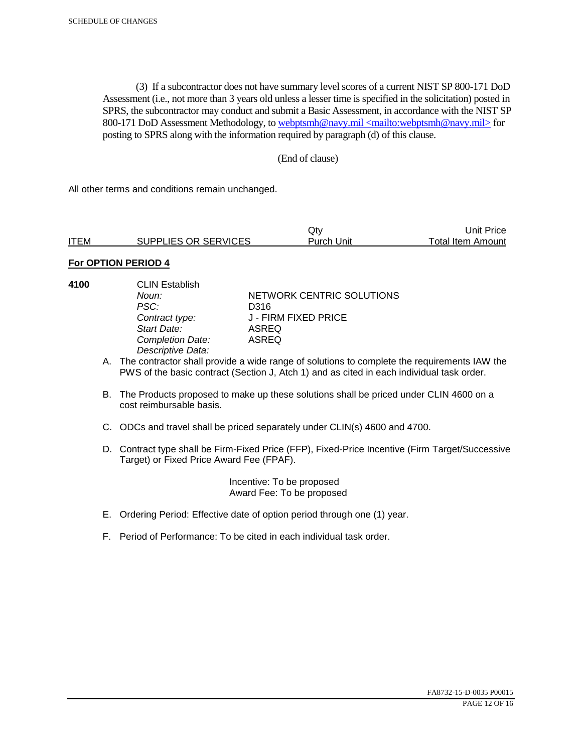(3) If a subcontractor does not have summary level scores of a current NIST SP 800-171 DoD Assessment (i.e., not more than 3 years old unless a lesser time is specified in the solicitation) posted in SPRS, the subcontractor may conduct and submit a Basic Assessment, in accordance with the NIST SP 800-171 DoD Assessment Methodology, to webptsmh@navy.mil <mailto:webptsmh@navy.mil> for posting to SPRS along with the information required by paragraph (d) of this clause.

### (End of clause)

All other terms and conditions remain unchanged.

|             |                      | Jtv.       | Unit Price l      |
|-------------|----------------------|------------|-------------------|
| <b>ITEM</b> | SUPPLIES OR SERVICES | Purch Unit | Total Item Amount |

## **For OPTION PERIOD 4**

- 
- **4100** CLIN Establish PSC: D316<br>Contract type: J - FII *Start Date:* ASREQ **Completion Date:** *Descriptive Data:*

**Noun: NETWORK CENTRIC SOLUTIONS** *Contract type:* J - FIRM FIXED PRICE

- A. The contractor shall provide a wide range of solutions to complete the requirements IAW the PWS of the basic contract (Section J, Atch 1) and as cited in each individual task order.
- B. The Products proposed to make up these solutions shall be priced under CLIN 4600 on a cost reimbursable basis.
- C. ODCs and travel shall be priced separately under CLIN(s) 4600 and 4700.
- D. Contract type shall be Firm-Fixed Price (FFP), Fixed-Price Incentive (Firm Target/Successive Target) or Fixed Price Award Fee (FPAF).

 Incentive: To be proposed Award Fee: To be proposed

- E. Ordering Period: Effective date of option period through one (1) year.
- F. Period of Performance: To be cited in each individual task order.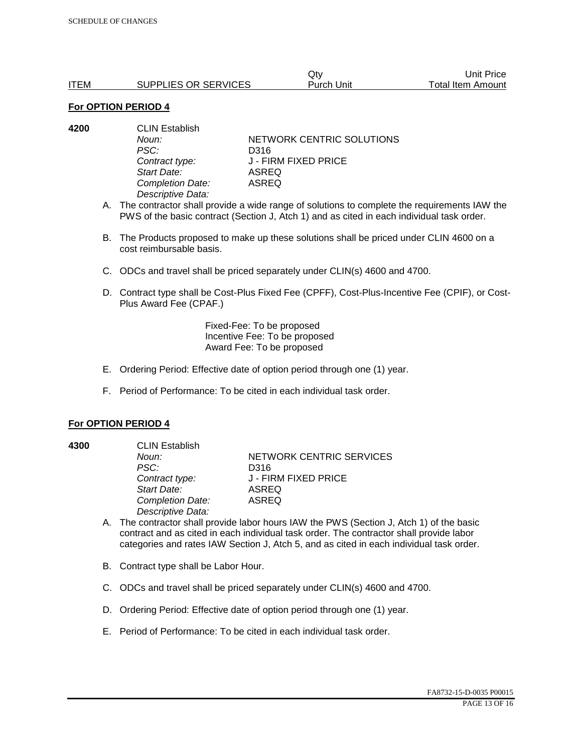|             |                      | Qtv        | Unit Price        |
|-------------|----------------------|------------|-------------------|
| <b>ITEM</b> | SUPPLIES OR SERVICES | Purch Unit | Total Item Amount |

| 4200 | <b>CLIN Establish</b> |                           |  |
|------|-----------------------|---------------------------|--|
|      | Noun:                 | NETWORK CENTRIC SOLUTIONS |  |
|      | PSC:                  | D316                      |  |
|      | Contract type:        | J - FIRM FIXED PRICE      |  |
|      | Start Date:           | ASREQ                     |  |
|      | Completion Date:      | ASREQ                     |  |
|      | Descriptive Data:     |                           |  |
|      |                       |                           |  |

- A. The contractor shall provide a wide range of solutions to complete the requirements IAW the PWS of the basic contract (Section J, Atch 1) and as cited in each individual task order.
- B. The Products proposed to make up these solutions shall be priced under CLIN 4600 on a cost reimbursable basis.
- C. ODCs and travel shall be priced separately under CLIN(s) 4600 and 4700.
- D. Contract type shall be Cost-Plus Fixed Fee (CPFF), Cost-Plus-Incentive Fee (CPIF), or Cost-Plus Award Fee (CPAF.)

Fixed-Fee: To be proposed Incentive Fee: To be proposed Award Fee: To be proposed

- E. Ordering Period: Effective date of option period through one (1) year.
- F. Period of Performance: To be cited in each individual task order.

#### **For OPTION PERIOD 4**

**4300** CLIN Establish

*PSC:* D316 *Start Date:* ASREQ *Completion Date:* ASREQ *Descriptive Data:* 

**Noun: NETWORK CENTRIC SERVICES** *Contract type:* J - FIRM FIXED PRICE

- A. The contractor shall provide labor hours IAW the PWS (Section J, Atch 1) of the basic contract and as cited in each individual task order. The contractor shall provide labor categories and rates IAW Section J, Atch 5, and as cited in each individual task order.
- B. Contract type shall be Labor Hour.
- C. ODCs and travel shall be priced separately under CLIN(s) 4600 and 4700.
- D. Ordering Period: Effective date of option period through one (1) year.
- E. Period of Performance: To be cited in each individual task order.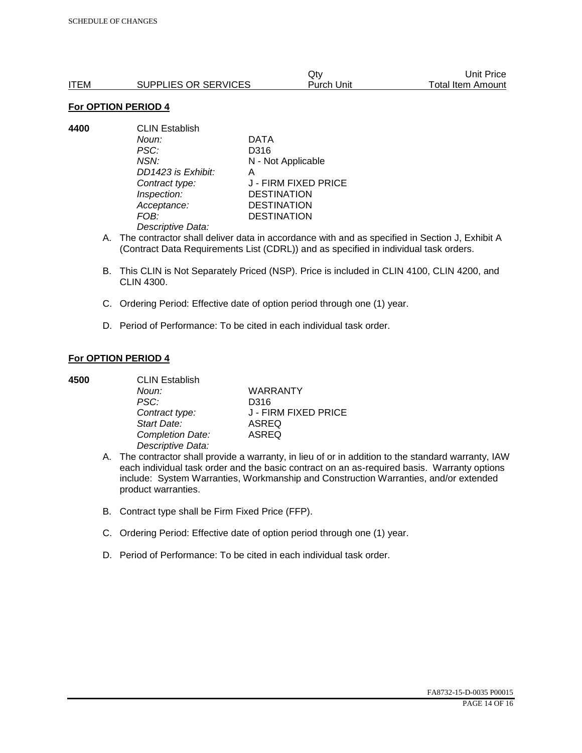|      |                      | Qtv        | Unit Price        |
|------|----------------------|------------|-------------------|
| ITEM | SUPPLIES OR SERVICES | Purch Unit | Total Item Amount |

**4400** CLIN Establish *Noun:* DATA *PSC:* D316 *NSN:* N - Not Applicable *DD1423 is Exhibit:* A *Contract type:* J - FIRM FIXED PRICE *Inspection:* DESTINATION *Acceptance:* DESTINATION *FOB:* DESTINATION *Descriptive Data:* 

- A. The contractor shall deliver data in accordance with and as specified in Section J, Exhibit A (Contract Data Requirements List (CDRL)) and as specified in individual task orders.
- B. This CLIN is Not Separately Priced (NSP). Price is included in CLIN 4100, CLIN 4200, and CLIN 4300.
- C. Ordering Period: Effective date of option period through one (1) year.
- D. Period of Performance: To be cited in each individual task order.

### **For OPTION PERIOD 4**

| 4500 | <b>CLIN Establish</b> |                      |  |
|------|-----------------------|----------------------|--|
|      | Noun:                 | <b>WARRANTY</b>      |  |
|      | PSC:                  | D316                 |  |
|      | Contract type:        | J - FIRM FIXED PRICE |  |
|      | Start Date:           | <b>ASREQ</b>         |  |
|      | Completion Date:      | <b>ASREQ</b>         |  |
|      | Descriptive Data:     |                      |  |

- A. The contractor shall provide a warranty, in lieu of or in addition to the standard warranty, IAW each individual task order and the basic contract on an as-required basis. Warranty options include: System Warranties, Workmanship and Construction Warranties, and/or extended product warranties.
- B. Contract type shall be Firm Fixed Price (FFP).
- C. Ordering Period: Effective date of option period through one (1) year.
- D. Period of Performance: To be cited in each individual task order.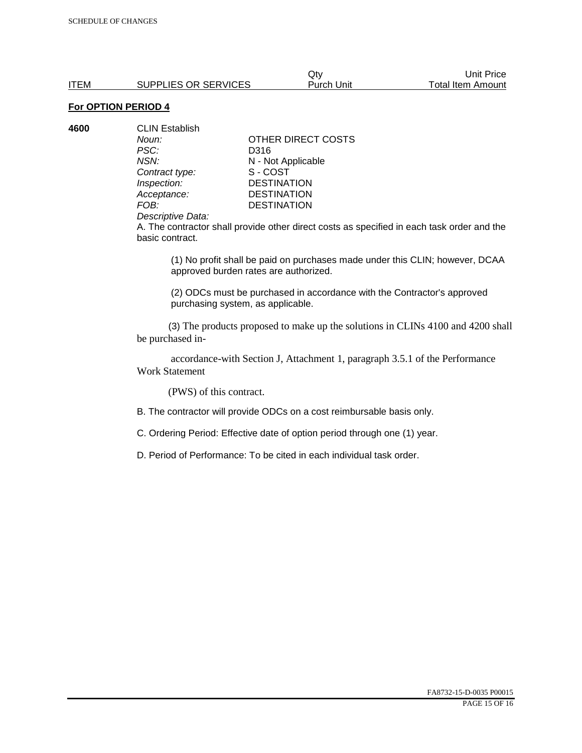| 4600 | <b>CLIN Establish</b> |                    |
|------|-----------------------|--------------------|
|      | Noun:                 | OTHER DIRECT COSTS |
|      | PSC:                  | D316               |
|      | NSN:                  | N - Not Applicable |
|      | Contract type:        | S-COST             |
|      | Inspection:           | <b>DESTINATION</b> |
|      | Acceptance:           | <b>DESTINATION</b> |
|      | FOB:                  | <b>DESTINATION</b> |
|      | ________              |                    |

#### *Descriptive Data:*

A. The contractor shall provide other direct costs as specified in each task order and the basic contract.

(1) No profit shall be paid on purchases made under this CLIN; however, DCAA approved burden rates are authorized.

(2) ODCs must be purchased in accordance with the Contractor's approved purchasing system, as applicable.

 (3) The products proposed to make up the solutions in CLINs 4100 and 4200 shall be purchased in-

 accordance-with Section J, Attachment 1, paragraph 3.5.1 of the Performance Work Statement

(PWS) of this contract.

B. The contractor will provide ODCs on a cost reimbursable basis only.

C. Ordering Period: Effective date of option period through one (1) year.

D. Period of Performance: To be cited in each individual task order.